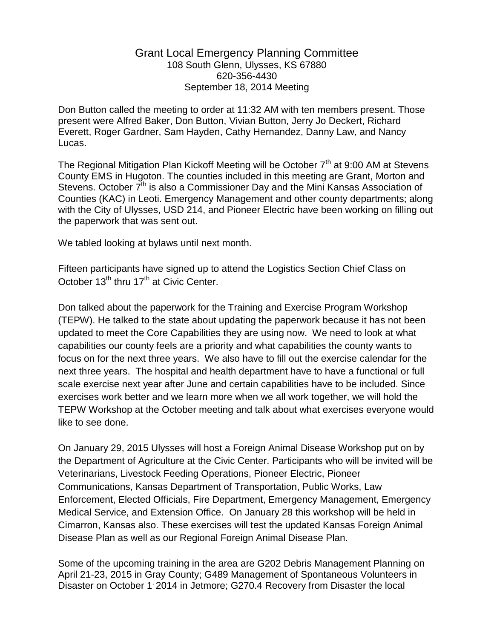## Grant Local Emergency Planning Committee 108 South Glenn, Ulysses, KS 67880 620-356-4430 September 18, 2014 Meeting

Don Button called the meeting to order at 11:32 AM with ten members present. Those present were Alfred Baker, Don Button, Vivian Button, Jerry Jo Deckert, Richard Everett, Roger Gardner, Sam Hayden, Cathy Hernandez, Danny Law, and Nancy Lucas.

The Regional Mitigation Plan Kickoff Meeting will be October  $7<sup>th</sup>$  at 9:00 AM at Stevens County EMS in Hugoton. The counties included in this meeting are Grant, Morton and Stevens. October  $7<sup>th</sup>$  is also a Commissioner Day and the Mini Kansas Association of Counties (KAC) in Leoti. Emergency Management and other county departments; along with the City of Ulysses, USD 214, and Pioneer Electric have been working on filling out the paperwork that was sent out.

We tabled looking at bylaws until next month.

Fifteen participants have signed up to attend the Logistics Section Chief Class on October 13<sup>th</sup> thru 17<sup>th</sup> at Civic Center.

Don talked about the paperwork for the Training and Exercise Program Workshop (TEPW). He talked to the state about updating the paperwork because it has not been updated to meet the Core Capabilities they are using now. We need to look at what capabilities our county feels are a priority and what capabilities the county wants to focus on for the next three years. We also have to fill out the exercise calendar for the next three years. The hospital and health department have to have a functional or full scale exercise next year after June and certain capabilities have to be included. Since exercises work better and we learn more when we all work together, we will hold the TEPW Workshop at the October meeting and talk about what exercises everyone would like to see done.

On January 29, 2015 Ulysses will host a Foreign Animal Disease Workshop put on by the Department of Agriculture at the Civic Center. Participants who will be invited will be Veterinarians, Livestock Feeding Operations, Pioneer Electric, Pioneer Communications, Kansas Department of Transportation, Public Works, Law Enforcement, Elected Officials, Fire Department, Emergency Management, Emergency Medical Service, and Extension Office. On January 28 this workshop will be held in Cimarron, Kansas also. These exercises will test the updated Kansas Foreign Animal Disease Plan as well as our Regional Foreign Animal Disease Plan.

Some of the upcoming training in the area are G202 Debris Management Planning on April 21-23, 2015 in Gray County; G489 Management of Spontaneous Volunteers in Disaster on October 1<sup>,</sup> 2014 in Jetmore; G270.4 Recovery from Disaster the local